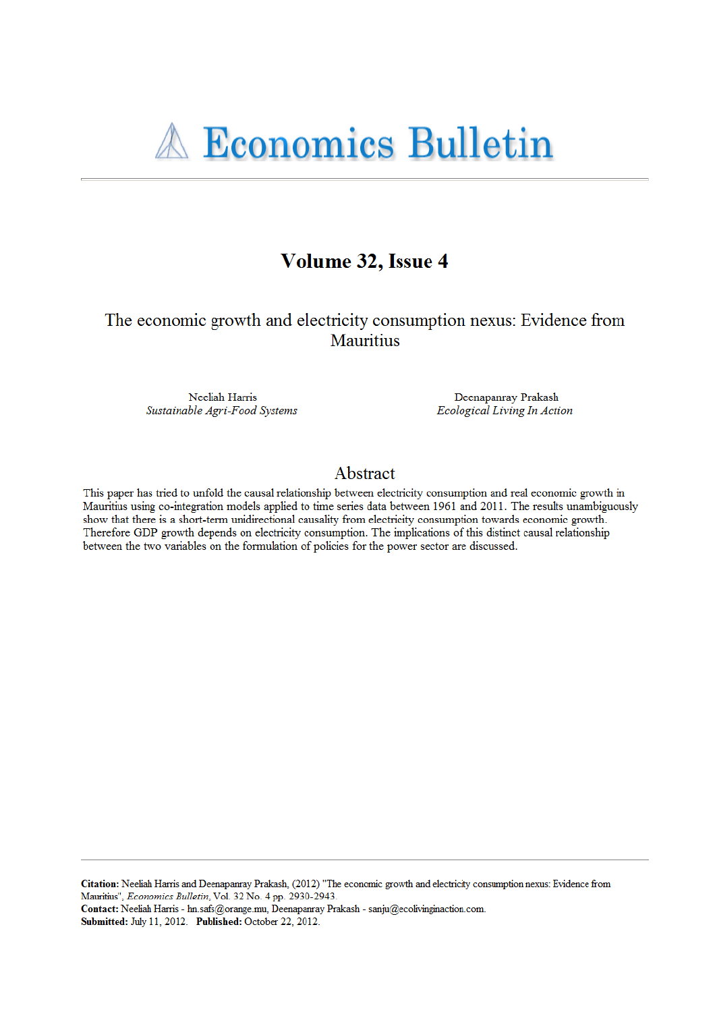

# Volume 32, Issue 4

The economic growth and electricity consumption nexus: Evidence from **Mauritius** 

Neeliah Harris Sustainable Agri-Food Systems

Deenapanray Prakash Ecological Living In Action

## Abstract

This paper has tried to unfold the causal relationship between electricity consumption and real economic growth in Mauritius using co-integration models applied to time series data between 1961 and 2011. The results unambiguously show that there is a short-term unidirectional causality from electricity consumption towards economic growth. Therefore GDP growth depends on electricity consumption. The implications of this distinct causal relationship between the two variables on the formulation of policies for the power sector are discussed.

Citation: Neeliah Harris and Deenapanray Prakash, (2012) "The economic growth and electricity consumption nexus: Evidence from Mauritius", Economics Bulletin, Vol. 32 No. 4 pp. 2930-2943.

Contact: Neeliah Harris - hn.safs@orange.mu, Deenapanray Prakash - sanju@ecolivinginaction.com. Submitted: July 11, 2012. Published: October 22, 2012.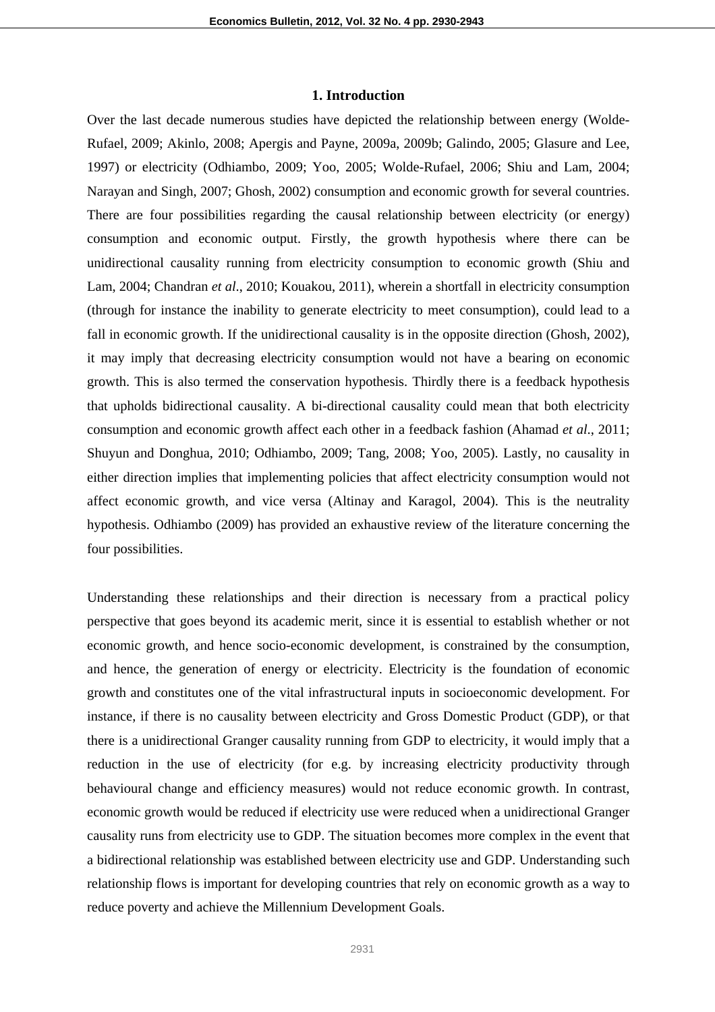## **1. Introduction**

Over the last decade numerous studies have depicted the relationship between energy (Wolde-Rufael, 2009; Akinlo, 2008; Apergis and Payne, 2009a, 2009b; Galindo, 2005; Glasure and Lee, 1997) or electricity (Odhiambo, 2009; Yoo, 2005; Wolde-Rufael, 2006; Shiu and Lam, 2004; Narayan and Singh, 2007; Ghosh, 2002) consumption and economic growth for several countries. There are four possibilities regarding the causal relationship between electricity (or energy) consumption and economic output. Firstly, the growth hypothesis where there can be unidirectional causality running from electricity consumption to economic growth (Shiu and Lam, 2004; Chandran *et al*., 2010; Kouakou, 2011), wherein a shortfall in electricity consumption (through for instance the inability to generate electricity to meet consumption), could lead to a fall in economic growth. If the unidirectional causality is in the opposite direction (Ghosh, 2002), it may imply that decreasing electricity consumption would not have a bearing on economic growth. This is also termed the conservation hypothesis. Thirdly there is a feedback hypothesis that upholds bidirectional causality. A bi-directional causality could mean that both electricity consumption and economic growth affect each other in a feedback fashion (Ahamad *et al*., 2011; Shuyun and Donghua, 2010; Odhiambo, 2009; Tang, 2008; Yoo, 2005). Lastly, no causality in either direction implies that implementing policies that affect electricity consumption would not affect economic growth, and vice versa (Altinay and Karagol, 2004). This is the neutrality hypothesis. Odhiambo (2009) has provided an exhaustive review of the literature concerning the four possibilities.

Understanding these relationships and their direction is necessary from a practical policy perspective that goes beyond its academic merit, since it is essential to establish whether or not economic growth, and hence socio-economic development, is constrained by the consumption, and hence, the generation of energy or electricity. Electricity is the foundation of economic growth and constitutes one of the vital infrastructural inputs in socioeconomic development. For instance, if there is no causality between electricity and Gross Domestic Product (GDP), or that there is a unidirectional Granger causality running from GDP to electricity, it would imply that a reduction in the use of electricity (for e.g. by increasing electricity productivity through behavioural change and efficiency measures) would not reduce economic growth. In contrast, economic growth would be reduced if electricity use were reduced when a unidirectional Granger causality runs from electricity use to GDP. The situation becomes more complex in the event that a bidirectional relationship was established between electricity use and GDP. Understanding such relationship flows is important for developing countries that rely on economic growth as a way to reduce poverty and achieve the Millennium Development Goals.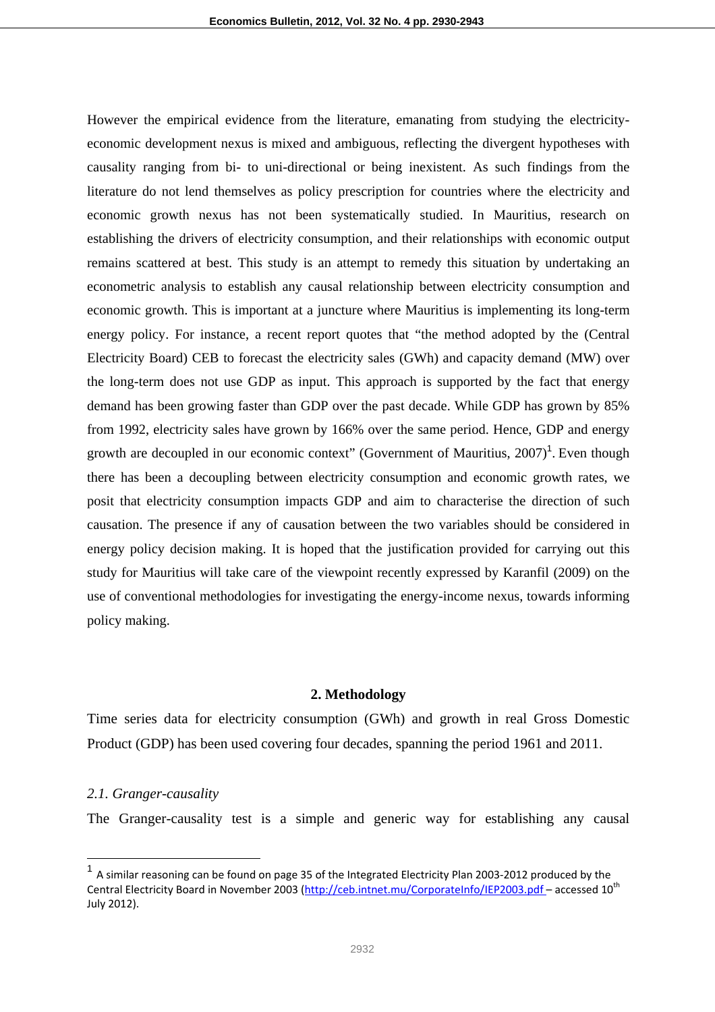However the empirical evidence from the literature, emanating from studying the electricityeconomic development nexus is mixed and ambiguous, reflecting the divergent hypotheses with causality ranging from bi- to uni-directional or being inexistent. As such findings from the literature do not lend themselves as policy prescription for countries where the electricity and economic growth nexus has not been systematically studied. In Mauritius, research on establishing the drivers of electricity consumption, and their relationships with economic output remains scattered at best. This study is an attempt to remedy this situation by undertaking an econometric analysis to establish any causal relationship between electricity consumption and economic growth. This is important at a juncture where Mauritius is implementing its long-term energy policy. For instance, a recent report quotes that "the method adopted by the (Central Electricity Board) CEB to forecast the electricity sales (GWh) and capacity demand (MW) over the long-term does not use GDP as input. This approach is supported by the fact that energy demand has been growing faster than GDP over the past decade. While GDP has grown by 85% from 1992, electricity sales have grown by 166% over the same period. Hence, GDP and energy growth are decoupled in our economic context" (Government of Mauritius,  $2007$ )<sup>1</sup>. Even though there has been a decoupling between electricity consumption and economic growth rates, we posit that electricity consumption impacts GDP and aim to characterise the direction of such causation. The presence if any of causation between the two variables should be considered in energy policy decision making. It is hoped that the justification provided for carrying out this study for Mauritius will take care of the viewpoint recently expressed by Karanfil (2009) on the use of conventional methodologies for investigating the energy-income nexus, towards informing policy making.

## **2. Methodology**

Time series data for electricity consumption (GWh) and growth in real Gross Domestic Product (GDP) has been used covering four decades, spanning the period 1961 and 2011.

## *2.1. Granger-causality*

 $\overline{a}$ 

The Granger-causality test is a simple and generic way for establishing any causal

 $1$  A similar reasoning can be found on page 35 of the Integrated Electricity Plan 2003-2012 produced by the Central Electricity Board in November 2003 (http://ceb.intnet.mu/CorporateInfo/IEP2003.pdf – accessed 10<sup>th</sup> July 2012).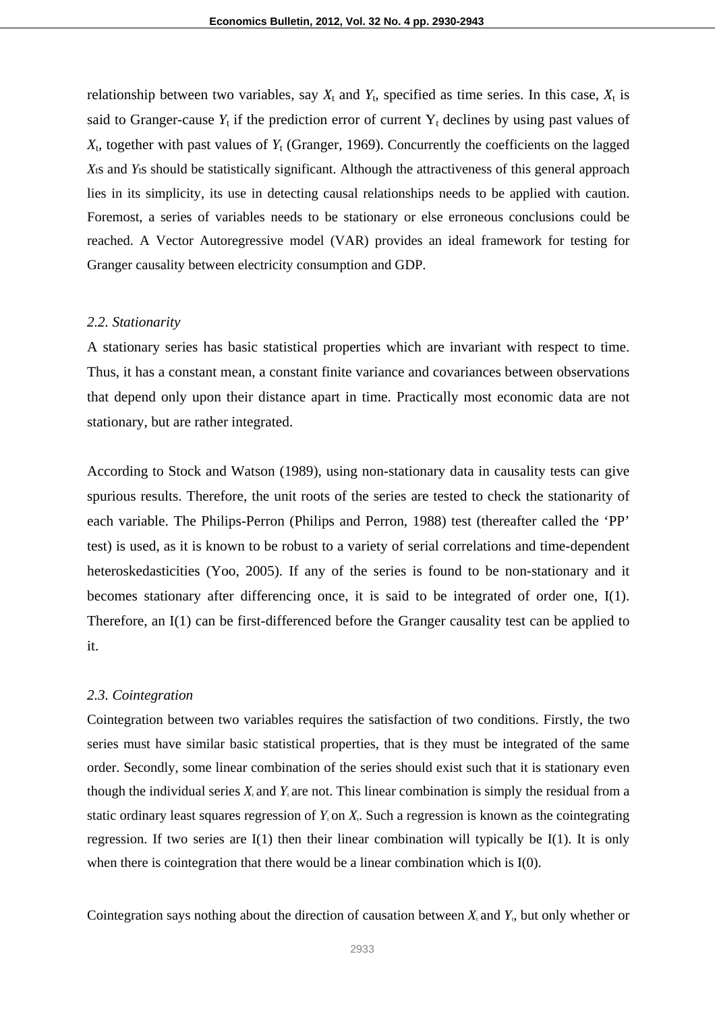relationship between two variables, say  $X_t$  and  $Y_t$ , specified as time series. In this case,  $X_t$  is said to Granger-cause  $Y_t$  if the prediction error of current  $Y_t$  declines by using past values of  $X_t$ , together with past values of  $Y_t$  (Granger, 1969). Concurrently the coefficients on the lagged *X*ts and *Y*ts should be statistically significant. Although the attractiveness of this general approach lies in its simplicity, its use in detecting causal relationships needs to be applied with caution. Foremost, a series of variables needs to be stationary or else erroneous conclusions could be reached. A Vector Autoregressive model (VAR) provides an ideal framework for testing for Granger causality between electricity consumption and GDP.

### *2.2. Stationarity*

A stationary series has basic statistical properties which are invariant with respect to time. Thus, it has a constant mean, a constant finite variance and covariances between observations that depend only upon their distance apart in time. Practically most economic data are not stationary, but are rather integrated.

According to Stock and Watson (1989), using non-stationary data in causality tests can give spurious results. Therefore, the unit roots of the series are tested to check the stationarity of each variable. The Philips-Perron (Philips and Perron, 1988) test (thereafter called the 'PP' test) is used, as it is known to be robust to a variety of serial correlations and time-dependent heteroskedasticities (Yoo, 2005). If any of the series is found to be non-stationary and it becomes stationary after differencing once, it is said to be integrated of order one, I(1). Therefore, an I(1) can be first-differenced before the Granger causality test can be applied to it.

#### *2.3. Cointegration*

Cointegration between two variables requires the satisfaction of two conditions. Firstly, the two series must have similar basic statistical properties, that is they must be integrated of the same order. Secondly, some linear combination of the series should exist such that it is stationary even though the individual series  $X_t$  and  $Y_t$  are not. This linear combination is simply the residual from a static ordinary least squares regression of  $Y_t$  on  $X_t$ . Such a regression is known as the cointegrating regression. If two series are  $I(1)$  then their linear combination will typically be  $I(1)$ . It is only when there is cointegration that there would be a linear combination which is I(0).

Cointegration says nothing about the direction of causation between  $X_t$  and  $Y_t$ , but only whether or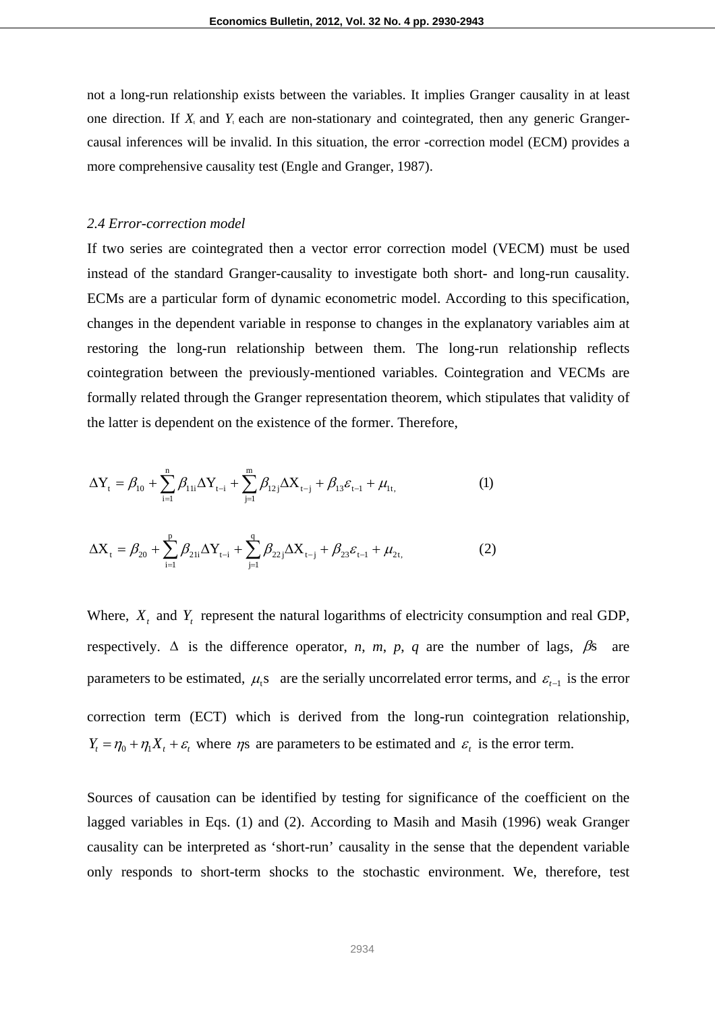not a long-run relationship exists between the variables. It implies Granger causality in at least one direction. If  $X_t$  and  $Y_t$  each are non-stationary and cointegrated, then any generic Grangercausal inferences will be invalid. In this situation, the error -correction model (ECM) provides a more comprehensive causality test (Engle and Granger, 1987).

## *2.4 Error-correction model*

If two series are cointegrated then a vector error correction model (VECM) must be used instead of the standard Granger-causality to investigate both short- and long-run causality. ECMs are a particular form of dynamic econometric model. According to this specification, changes in the dependent variable in response to changes in the explanatory variables aim at restoring the long-run relationship between them. The long-run relationship reflects cointegration between the previously-mentioned variables. Cointegration and VECMs are formally related through the Granger representation theorem, which stipulates that validity of the latter is dependent on the existence of the former. Therefore,

$$
\Delta Y_{t} = \beta_{10} + \sum_{i=1}^{n} \beta_{11i} \Delta Y_{t-i} + \sum_{j=1}^{m} \beta_{12j} \Delta X_{t-j} + \beta_{13} \varepsilon_{t-1} + \mu_{1t},
$$
(1)

$$
\Delta X_{t} = \beta_{20} + \sum_{i=1}^{p} \beta_{21i} \Delta Y_{t-i} + \sum_{j=1}^{q} \beta_{22j} \Delta X_{t-j} + \beta_{23} \varepsilon_{t-1} + \mu_{2t},
$$
 (2)

Where,  $X_t$  and  $Y_t$  represent the natural logarithms of electricity consumption and real GDP, respectively.  $\Delta$  is the difference operator, *n*, *m*, *p*, *q* are the number of lags,  $\beta$ s are parameters to be estimated,  $\mu$ <sub>i</sub>s are the serially uncorrelated error terms, and  $\varepsilon$ <sub>t-1</sub> is the error correction term (ECT) which is derived from the long-run cointegration relationship,  $Y_t = \eta_0 + \eta_1 X_t + \varepsilon_t$  where  $\eta$ s are parameters to be estimated and  $\varepsilon_t$  is the error term.

Sources of causation can be identified by testing for significance of the coefficient on the lagged variables in Eqs. (1) and (2). According to Masih and Masih (1996) weak Granger causality can be interpreted as 'short-run' causality in the sense that the dependent variable only responds to short-term shocks to the stochastic environment. We, therefore, test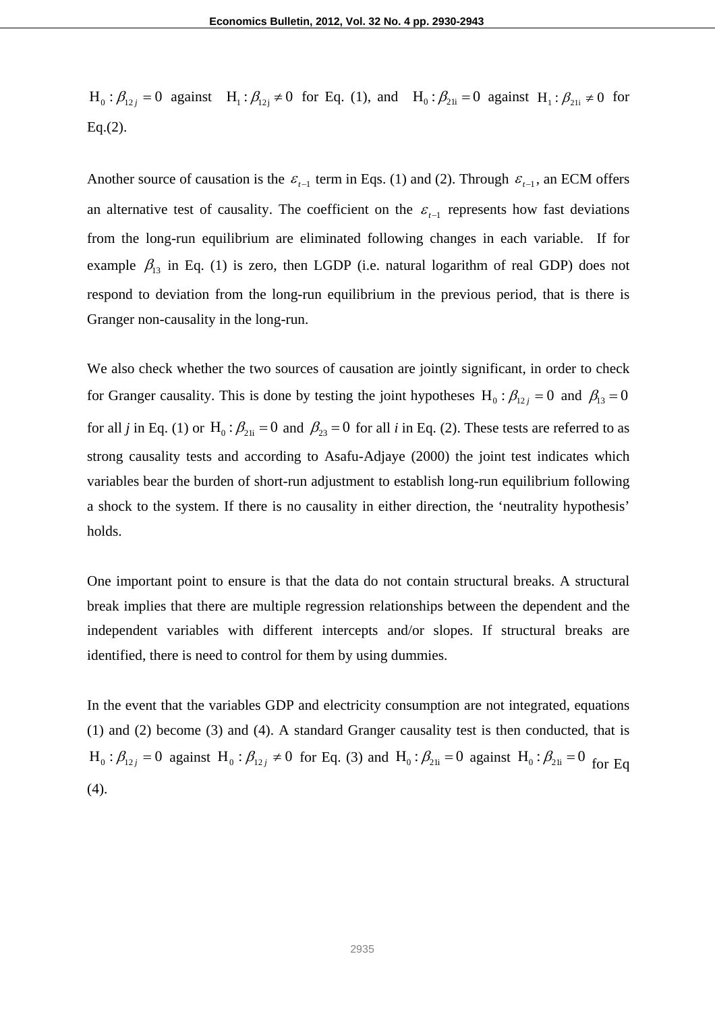$H_0: \beta_{12} = 0$  against  $H_1: \beta_{12} \neq 0$  for Eq. (1), and  $H_0: \beta_{21} = 0$  against  $H_1: \beta_{21} \neq 0$  for  $Eq.(2)$ .

Another source of causation is the  $\varepsilon_{t-1}$  term in Eqs. (1) and (2). Through  $\varepsilon_{t-1}$ , an ECM offers an alternative test of causality. The coefficient on the  $\varepsilon_{t-1}$  represents how fast deviations from the long-run equilibrium are eliminated following changes in each variable. If for example  $\beta_{13}$  in Eq. (1) is zero, then LGDP (i.e. natural logarithm of real GDP) does not respond to deviation from the long-run equilibrium in the previous period, that is there is Granger non-causality in the long-run.

We also check whether the two sources of causation are jointly significant, in order to check for Granger causality. This is done by testing the joint hypotheses H<sub>0</sub>:  $\beta_{12}$  = 0 and  $\beta_{13}$  = 0 for all *j* in Eq. (1) or H<sub>0</sub> :  $\beta_{21i} = 0$  and  $\beta_{23} = 0$  for all *i* in Eq. (2). These tests are referred to as strong causality tests and according to Asafu-Adjaye (2000) the joint test indicates which variables bear the burden of short-run adjustment to establish long-run equilibrium following a shock to the system. If there is no causality in either direction, the 'neutrality hypothesis' holds.

One important point to ensure is that the data do not contain structural breaks. A structural break implies that there are multiple regression relationships between the dependent and the independent variables with different intercepts and/or slopes. If structural breaks are identified, there is need to control for them by using dummies.

In the event that the variables GDP and electricity consumption are not integrated, equations (1) and (2) become (3) and (4). A standard Granger causality test is then conducted, that is  $H_0: \beta_{12j} = 0$  against  $H_0: \beta_{12j} \neq 0$  for Eq. (3) and  $H_0: \beta_{21i} = 0$  against  $H_0: \beta_{21i} = 0$  for Eq. (4).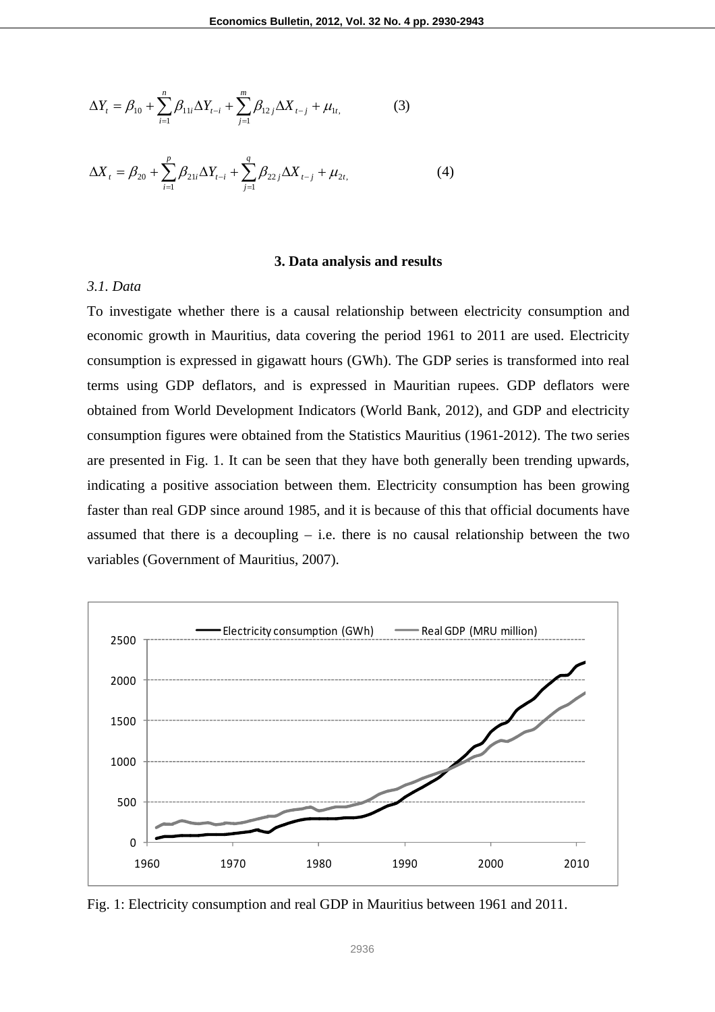$$
\Delta Y_t = \beta_{10} + \sum_{i=1}^n \beta_{11i} \Delta Y_{t-i} + \sum_{j=1}^m \beta_{12j} \Delta X_{t-j} + \mu_{1t},
$$
(3)

$$
\Delta X_t = \beta_{20} + \sum_{i=1}^p \beta_{21i} \Delta Y_{t-i} + \sum_{j=1}^q \beta_{22j} \Delta X_{t-j} + \mu_{2t}
$$
 (4)

### **3. Data analysis and results**

## *3.1. Data*

To investigate whether there is a causal relationship between electricity consumption and economic growth in Mauritius, data covering the period 1961 to 2011 are used. Electricity consumption is expressed in gigawatt hours (GWh). The GDP series is transformed into real terms using GDP deflators, and is expressed in Mauritian rupees. GDP deflators were obtained from World Development Indicators (World Bank, 2012), and GDP and electricity consumption figures were obtained from the Statistics Mauritius (1961-2012). The two series are presented in Fig. 1. It can be seen that they have both generally been trending upwards, indicating a positive association between them. Electricity consumption has been growing faster than real GDP since around 1985, and it is because of this that official documents have assumed that there is a decoupling  $-$  i.e. there is no causal relationship between the two variables (Government of Mauritius, 2007).



Fig. 1: Electricity consumption and real GDP in Mauritius between 1961 and 2011.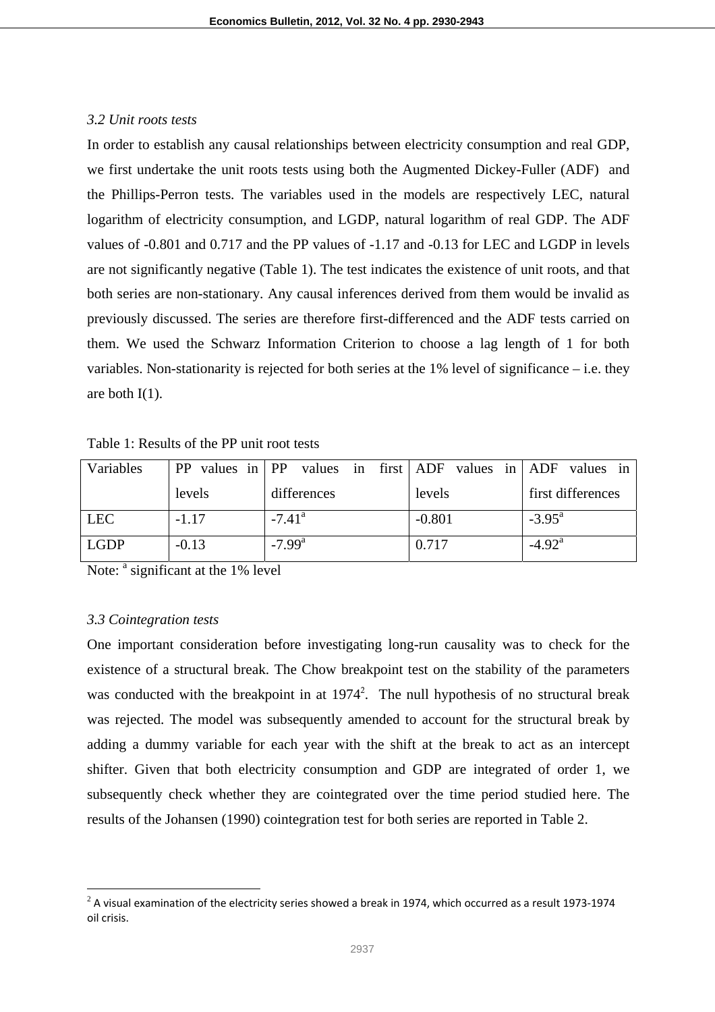## *3.2 Unit roots tests*

In order to establish any causal relationships between electricity consumption and real GDP, we first undertake the unit roots tests using both the Augmented Dickey-Fuller (ADF) and the Phillips-Perron tests. The variables used in the models are respectively LEC, natural logarithm of electricity consumption, and LGDP, natural logarithm of real GDP. The ADF values of -0.801 and 0.717 and the PP values of -1.17 and -0.13 for LEC and LGDP in levels are not significantly negative (Table 1). The test indicates the existence of unit roots, and that both series are non-stationary. Any causal inferences derived from them would be invalid as previously discussed. The series are therefore first-differenced and the ADF tests carried on them. We used the Schwarz Information Criterion to choose a lag length of 1 for both variables. Non-stationarity is rejected for both series at the 1% level of significance – i.e. they are both  $I(1)$ .

| Variables   | $PP$ values in $PP$ |                      | values in first ADF values in ADF values in |                    |
|-------------|---------------------|----------------------|---------------------------------------------|--------------------|
|             | levels              | differences          | levels                                      | first differences  |
| <b>LEC</b>  | $-1.17$             | $-7.41$ <sup>a</sup> | $-0.801$                                    | $-3.95^{\text{a}}$ |
| <b>LGDP</b> | $-0.13$             | $-7.99$ <sup>a</sup> | 0.717                                       | $-4.92^{\rm a}$    |

Table 1: Results of the PP unit root tests

Note: <sup>a</sup> significant at the 1% level

## *3.3 Cointegration tests*

 $\overline{a}$ 

One important consideration before investigating long-run causality was to check for the existence of a structural break. The Chow breakpoint test on the stability of the parameters was conducted with the breakpoint in at  $1974^2$ . The null hypothesis of no structural break was rejected. The model was subsequently amended to account for the structural break by adding a dummy variable for each year with the shift at the break to act as an intercept shifter. Given that both electricity consumption and GDP are integrated of order 1, we subsequently check whether they are cointegrated over the time period studied here. The results of the Johansen (1990) cointegration test for both series are reported in Table 2.

 $^2$  A visual examination of the electricity series showed a break in 1974, which occurred as a result 1973-1974 oil crisis.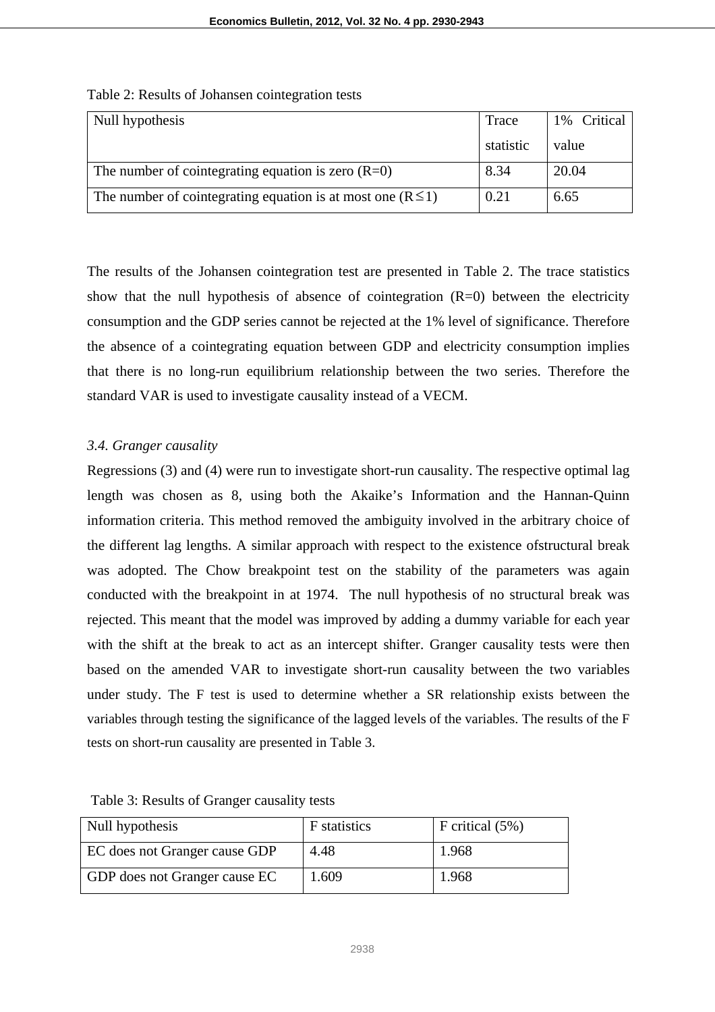| Null hypothesis                                                 | Trace     | 1% Critical |
|-----------------------------------------------------------------|-----------|-------------|
|                                                                 | statistic | value       |
| The number of cointegrating equation is zero $(R=0)$            | 8.34      | 20.04       |
| The number of cointegrating equation is at most one $(R \le 1)$ | 0.21      | 6.65        |

## Table 2: Results of Johansen cointegration tests

The results of the Johansen cointegration test are presented in Table 2. The trace statistics show that the null hypothesis of absence of cointegration  $(R=0)$  between the electricity consumption and the GDP series cannot be rejected at the 1% level of significance. Therefore the absence of a cointegrating equation between GDP and electricity consumption implies that there is no long-run equilibrium relationship between the two series. Therefore the standard VAR is used to investigate causality instead of a VECM.

## *3.4. Granger causality*

Regressions (3) and (4) were run to investigate short-run causality. The respective optimal lag length was chosen as 8, using both the Akaike's Information and the Hannan-Quinn information criteria. This method removed the ambiguity involved in the arbitrary choice of the different lag lengths. A similar approach with respect to the existence ofstructural break was adopted. The Chow breakpoint test on the stability of the parameters was again conducted with the breakpoint in at 1974. The null hypothesis of no structural break was rejected. This meant that the model was improved by adding a dummy variable for each year with the shift at the break to act as an intercept shifter. Granger causality tests were then based on the amended VAR to investigate short-run causality between the two variables under study. The F test is used to determine whether a SR relationship exists between the variables through testing the significance of the lagged levels of the variables. The results of the F tests on short-run causality are presented in Table 3.

| Null hypothesis               | F statistics | F critical $(5\%)$ |
|-------------------------------|--------------|--------------------|
| EC does not Granger cause GDP | 4.48         | 1.968              |
| GDP does not Granger cause EC | 1.609        | 1.968              |

## Table 3: Results of Granger causality tests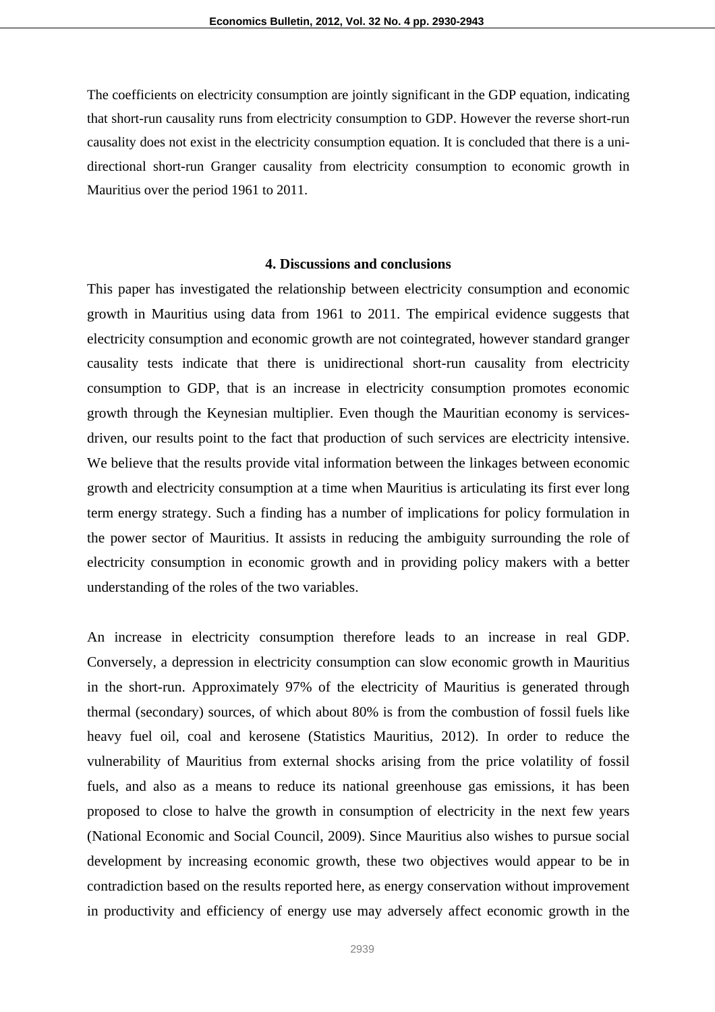The coefficients on electricity consumption are jointly significant in the GDP equation, indicating that short-run causality runs from electricity consumption to GDP. However the reverse short-run causality does not exist in the electricity consumption equation. It is concluded that there is a unidirectional short-run Granger causality from electricity consumption to economic growth in Mauritius over the period 1961 to 2011.

## **4. Discussions and conclusions**

This paper has investigated the relationship between electricity consumption and economic growth in Mauritius using data from 1961 to 2011. The empirical evidence suggests that electricity consumption and economic growth are not cointegrated, however standard granger causality tests indicate that there is unidirectional short-run causality from electricity consumption to GDP, that is an increase in electricity consumption promotes economic growth through the Keynesian multiplier. Even though the Mauritian economy is servicesdriven, our results point to the fact that production of such services are electricity intensive. We believe that the results provide vital information between the linkages between economic growth and electricity consumption at a time when Mauritius is articulating its first ever long term energy strategy. Such a finding has a number of implications for policy formulation in the power sector of Mauritius. It assists in reducing the ambiguity surrounding the role of electricity consumption in economic growth and in providing policy makers with a better understanding of the roles of the two variables.

An increase in electricity consumption therefore leads to an increase in real GDP. Conversely, a depression in electricity consumption can slow economic growth in Mauritius in the short-run. Approximately 97% of the electricity of Mauritius is generated through thermal (secondary) sources, of which about 80% is from the combustion of fossil fuels like heavy fuel oil, coal and kerosene (Statistics Mauritius, 2012). In order to reduce the vulnerability of Mauritius from external shocks arising from the price volatility of fossil fuels, and also as a means to reduce its national greenhouse gas emissions, it has been proposed to close to halve the growth in consumption of electricity in the next few years (National Economic and Social Council, 2009). Since Mauritius also wishes to pursue social development by increasing economic growth, these two objectives would appear to be in contradiction based on the results reported here, as energy conservation without improvement in productivity and efficiency of energy use may adversely affect economic growth in the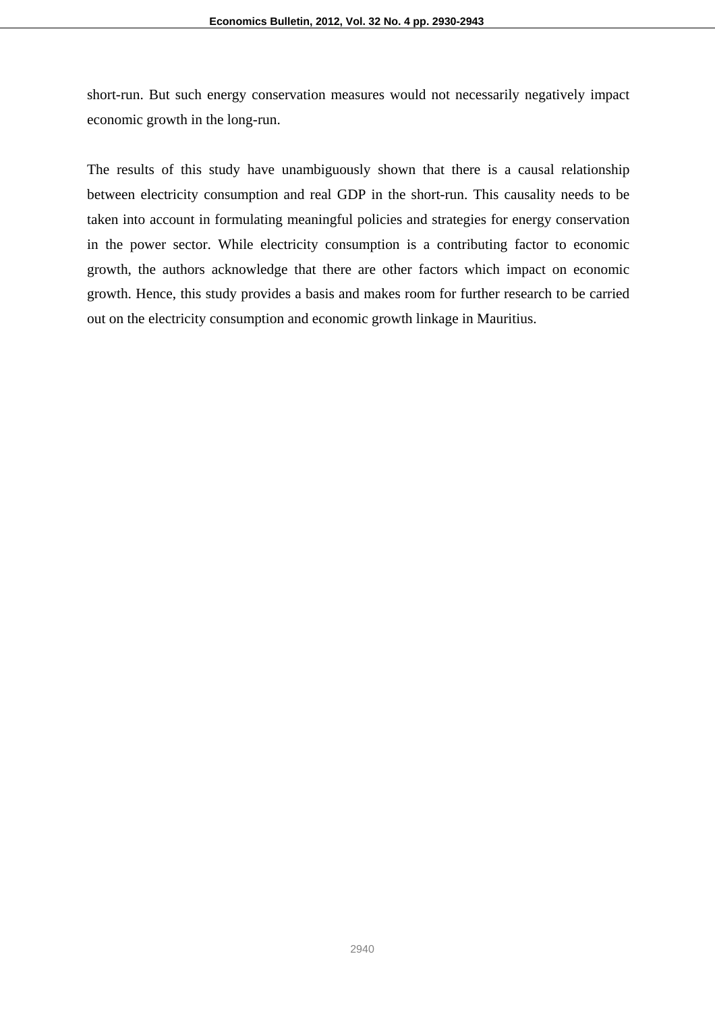short-run. But such energy conservation measures would not necessarily negatively impact economic growth in the long-run.

The results of this study have unambiguously shown that there is a causal relationship between electricity consumption and real GDP in the short-run. This causality needs to be taken into account in formulating meaningful policies and strategies for energy conservation in the power sector. While electricity consumption is a contributing factor to economic growth, the authors acknowledge that there are other factors which impact on economic growth. Hence, this study provides a basis and makes room for further research to be carried out on the electricity consumption and economic growth linkage in Mauritius.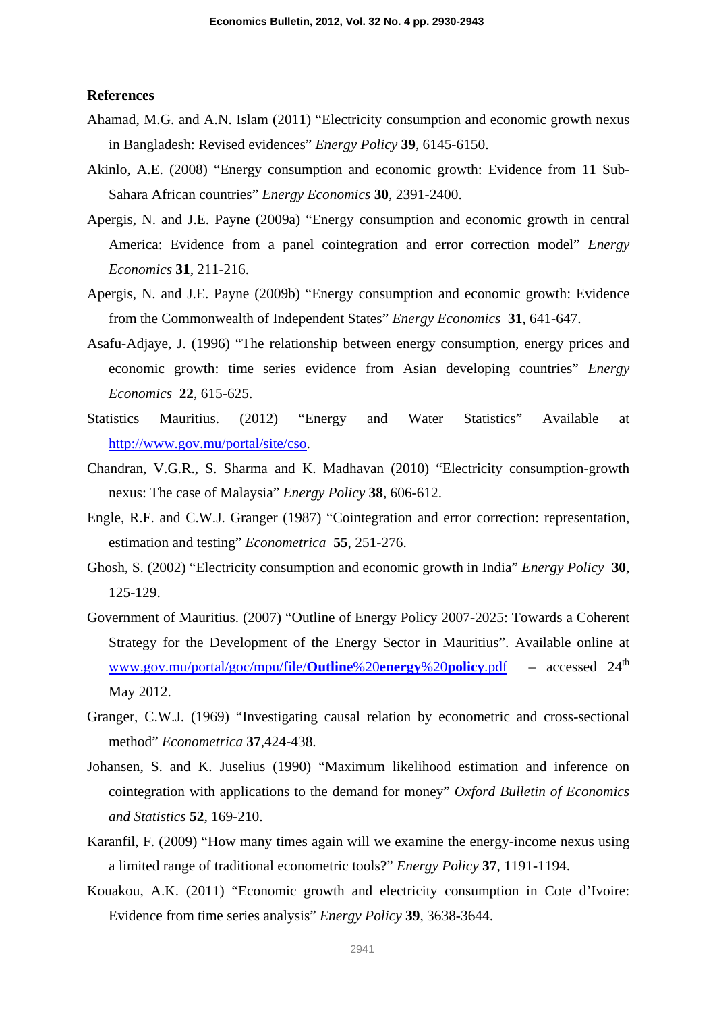## **References**

- Ahamad, M.G. and A.N. Islam (2011) "Electricity consumption and economic growth nexus in Bangladesh: Revised evidences" *Energy Policy* **39**, 6145-6150.
- Akinlo, A.E. (2008) "Energy consumption and economic growth: Evidence from 11 Sub-Sahara African countries" *Energy Economics* **30**, 2391-2400.
- Apergis, N. and J.E. Payne (2009a) "Energy consumption and economic growth in central America: Evidence from a panel cointegration and error correction model" *Energy Economics* **31**, 211-216.
- Apergis, N. and J.E. Payne (2009b) "Energy consumption and economic growth: Evidence from the Commonwealth of Independent States" *Energy Economics* **31**, 641-647.
- Asafu-Adjaye, J. (1996) "The relationship between energy consumption, energy prices and economic growth: time series evidence from Asian developing countries" *Energy Economics* **22**, 615-625.
- Statistics Mauritius. (2012) "Energy and Water Statistics" Available at http://www.gov.mu/portal/site/cso.
- Chandran, V.G.R., S. Sharma and K. Madhavan (2010) "Electricity consumption-growth nexus: The case of Malaysia" *Energy Policy* **38**, 606-612.
- Engle, R.F. and C.W.J. Granger (1987) "Cointegration and error correction: representation, estimation and testing" *Econometrica* **55**, 251-276.
- Ghosh, S. (2002) "Electricity consumption and economic growth in India" *Energy Policy* **30**, 125-129.
- Government of Mauritius. (2007) "Outline of Energy Policy 2007-2025: Towards a Coherent Strategy for the Development of the Energy Sector in Mauritius". Available online at www.gov.mu/portal/goc/mpu/file/**Outline**%20**energy**%20**policy**.pdf – accessed 24th May 2012.
- Granger, C.W.J. (1969) "Investigating causal relation by econometric and cross-sectional method" *Econometrica* **37**,424-438.
- Johansen, S. and K. Juselius (1990) "Maximum likelihood estimation and inference on cointegration with applications to the demand for money" *Oxford Bulletin of Economics and Statistics* **52**, 169-210.
- Karanfil, F. (2009) "How many times again will we examine the energy-income nexus using a limited range of traditional econometric tools?" *Energy Policy* **37**, 1191-1194.
- Kouakou, A.K. (2011) "Economic growth and electricity consumption in Cote d'Ivoire: Evidence from time series analysis" *Energy Policy* **39**, 3638-3644.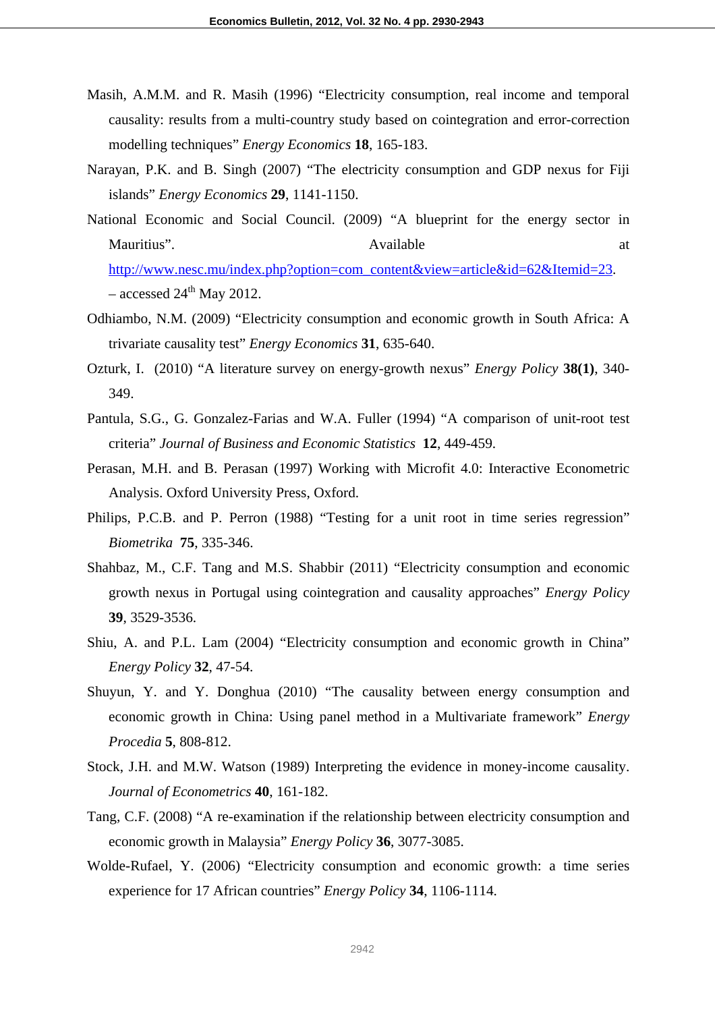- Masih, A.M.M. and R. Masih (1996) "Electricity consumption, real income and temporal causality: results from a multi-country study based on cointegration and error-correction modelling techniques" *Energy Economics* **18**, 165-183.
- Narayan, P.K. and B. Singh (2007) "The electricity consumption and GDP nexus for Fiji islands" *Energy Economics* **29**, 1141-1150.
- National Economic and Social Council. (2009) "A blueprint for the energy sector in Mauritius". Contract a contract a contract a contract a contract a contract a contract a contract a contract a contract a contract a contract a contract a contract a contract a contract a contract a contract a contract a c http://www.nesc.mu/index.php?option=com\_content&view=article&id=62&Itemid=23. – accessed  $24<sup>th</sup>$  May 2012.
- Odhiambo, N.M. (2009) "Electricity consumption and economic growth in South Africa: A trivariate causality test" *Energy Economics* **31**, 635-640.
- Ozturk, I. (2010) "A literature survey on energy-growth nexus" *Energy Policy* **38(1)**, 340- 349.
- Pantula, S.G., G. Gonzalez-Farias and W.A. Fuller (1994) "A comparison of unit-root test criteria" *Journal of Business and Economic Statistics* **12**, 449-459.
- Perasan, M.H. and B. Perasan (1997) Working with Microfit 4.0: Interactive Econometric Analysis. Oxford University Press, Oxford.
- Philips, P.C.B. and P. Perron (1988) "Testing for a unit root in time series regression" *Biometrika* **75**, 335-346.
- Shahbaz, M., C.F. Tang and M.S. Shabbir (2011) "Electricity consumption and economic growth nexus in Portugal using cointegration and causality approaches" *Energy Policy* **39**, 3529-3536.
- Shiu, A. and P.L. Lam (2004) "Electricity consumption and economic growth in China" *Energy Policy* **32**, 47-54.
- Shuyun, Y. and Y. Donghua (2010) "The causality between energy consumption and economic growth in China: Using panel method in a Multivariate framework" *Energy Procedia* **5**, 808-812.
- Stock, J.H. and M.W. Watson (1989) Interpreting the evidence in money-income causality. *Journal of Econometrics* **40**, 161-182.
- Tang, C.F. (2008) "A re-examination if the relationship between electricity consumption and economic growth in Malaysia" *Energy Policy* **36**, 3077-3085.
- Wolde-Rufael, Y. (2006) "Electricity consumption and economic growth: a time series experience for 17 African countries" *Energy Policy* **34**, 1106-1114.